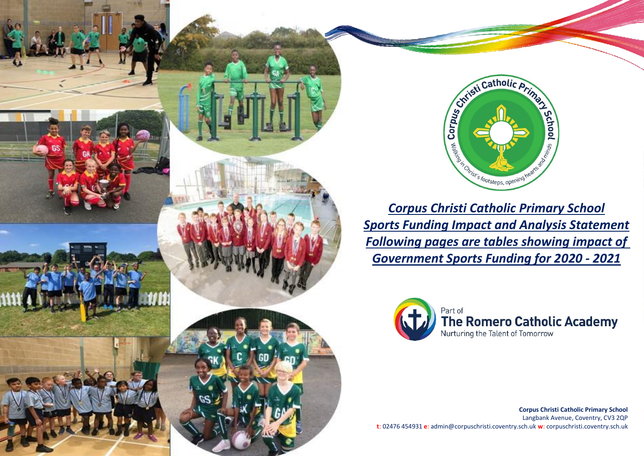



*Corpus Christi Catholic Primary School Sports Funding Impact and Analysis Statement Following pages are tables showing impact of Government Sports Funding for 2020 - 2021*



**Corpus Christi Catholic Primary School** Langbank Avenue, Coventry, CV3 2QP **t**: 02476 454931 **e**: admin@corpuschristi.coventry.sch.uk **w**: corpuschristi.coventry.sch.uk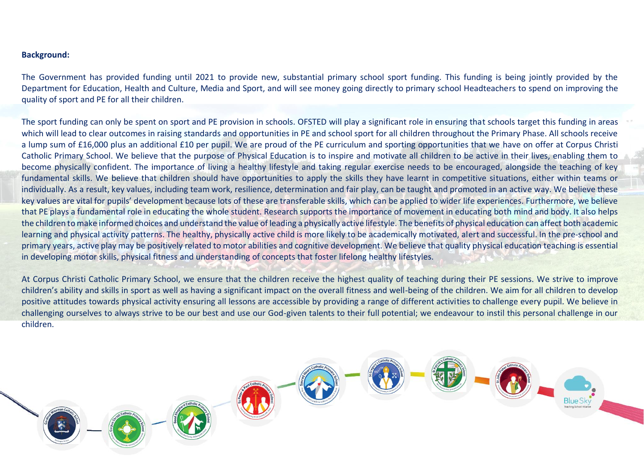## **Background:**

The Government has provided funding until 2021 to provide new, substantial primary school sport funding. This funding is being jointly provided by the Department for Education, Health and Culture, Media and Sport, and will see money going directly to primary school Headteachers to spend on improving the quality of sport and PE for all their children.

The sport funding can only be spent on sport and PE provision in schools. OFSTED will play a significant role in ensuring that schools target this funding in areas which will lead to clear outcomes in raising standards and opportunities in PE and school sport for all children throughout the Primary Phase. All schools receive a lump sum of £16,000 plus an additional £10 per pupil. We are proud of the PE curriculum and sporting opportunities that we have on offer at Corpus Christi Catholic Primary School. We believe that the purpose of Physical Education is to inspire and motivate all children to be active in their lives, enabling them to become physically confident. The importance of living a healthy lifestyle and taking regular exercise needs to be encouraged, alongside the teaching of key fundamental skills. We believe that children should have opportunities to apply the skills they have learnt in competitive situations, either within teams or individually. As a result, key values, including team work, resilience, determination and fair play, can be taught and promoted in an active way. We believe these key values are vital for pupils' development because lots of these are transferable skills, which can be applied to wider life experiences. Furthermore, we believe that PE plays a fundamental role in educating the whole student. Research supports the importance of movement in educating both mind and body. It also helps the children to make informed choices and understand the value of leading a physically active lifestyle. The benefits of physical education can affect both academic learning and physical activity patterns. The healthy, physically active child is more likely to be academically motivated, alert and successful. In the pre-school and primary years, active play may be positively related to motor abilities and cognitive development. We believe that quality physical education teaching is essential in developing motor skills, physical fitness and understanding of concepts that foster lifelong healthy lifestyles.

At Corpus Christi Catholic Primary School, we ensure that the children receive the highest quality of teaching during their PE sessions. We strive to improve children's ability and skills in sport as well as having a significant impact on the overall fitness and well-being of the children. We aim for all children to develop positive attitudes towards physical activity ensuring all lessons are accessible by providing a range of different activities to challenge every pupil. We believe in challenging ourselves to always strive to be our best and use our God-given talents to their full potential; we endeavour to instil this personal challenge in our children.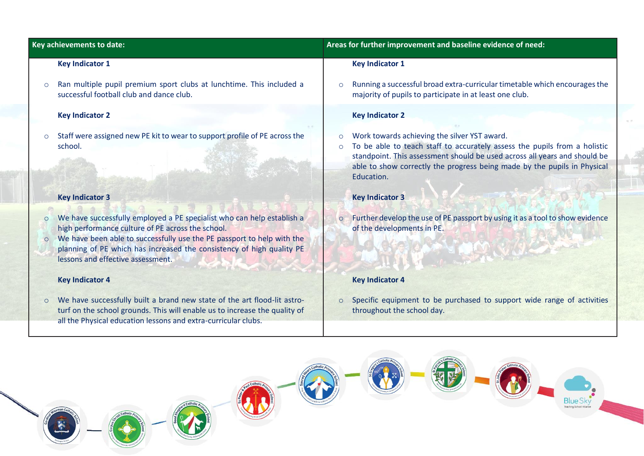|                    | Key achievements to date:                                                                                                                                                                                                                                                                                           |                    | Areas for further improvement and baseline evidence of need:                                                                                                                                                                                                                                     |
|--------------------|---------------------------------------------------------------------------------------------------------------------------------------------------------------------------------------------------------------------------------------------------------------------------------------------------------------------|--------------------|--------------------------------------------------------------------------------------------------------------------------------------------------------------------------------------------------------------------------------------------------------------------------------------------------|
|                    | <b>Key Indicator 1</b>                                                                                                                                                                                                                                                                                              |                    | <b>Key Indicator 1</b>                                                                                                                                                                                                                                                                           |
| $\circ$            | Ran multiple pupil premium sport clubs at lunchtime. This included a<br>successful football club and dance club.                                                                                                                                                                                                    | $\circ$            | Running a successful broad extra-curricular timetable which encourages the<br>majority of pupils to participate in at least one club.                                                                                                                                                            |
|                    | <b>Key Indicator 2</b>                                                                                                                                                                                                                                                                                              |                    | <b>Key Indicator 2</b>                                                                                                                                                                                                                                                                           |
| $\circ$            | Staff were assigned new PE kit to wear to support profile of PE across the<br>school.                                                                                                                                                                                                                               | $\circ$<br>$\circ$ | Work towards achieving the silver YST award.<br>To be able to teach staff to accurately assess the pupils from a holistic<br>standpoint. This assessment should be used across all years and should be<br>able to show correctly the progress being made by the pupils in Physical<br>Education. |
|                    | <b>Key Indicator 3</b>                                                                                                                                                                                                                                                                                              |                    | <b>Key Indicator 3</b>                                                                                                                                                                                                                                                                           |
| $\circ$<br>$\circ$ | We have successfully employed a PE specialist who can help establish a<br>high performance culture of PE across the school.<br>We have been able to successfully use the PE passport to help with the<br>planning of PE which has increased the consistency of high quality PE<br>lessons and effective assessment. | $\circ$            | Further develop the use of PE passport by using it as a tool to show evidence<br>of the developments in PE.                                                                                                                                                                                      |
|                    | <b>Key Indicator 4</b>                                                                                                                                                                                                                                                                                              |                    | <b>Key Indicator 4</b>                                                                                                                                                                                                                                                                           |
| $\circ$            | We have successfully built a brand new state of the art flood-lit astro-<br>turf on the school grounds. This will enable us to increase the quality of<br>all the Physical education lessons and extra-curricular clubs.                                                                                            | $\circ$            | Specific equipment to be purchased to support wide range of activities<br>throughout the school day.                                                                                                                                                                                             |
|                    |                                                                                                                                                                                                                                                                                                                     |                    | <b>Blue Sky</b><br>Teaching School Atlance                                                                                                                                                                                                                                                       |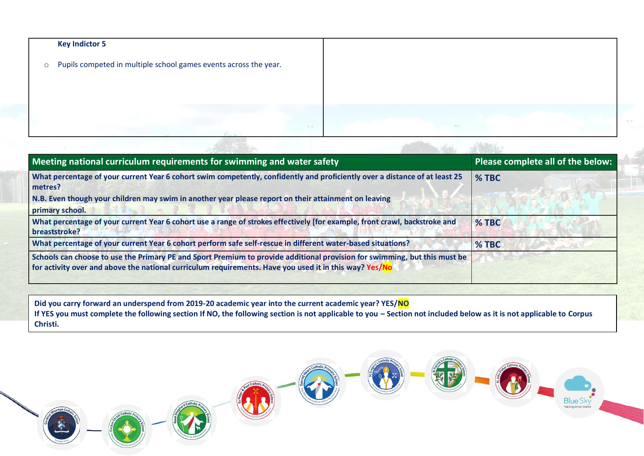|         | <b>Key Indictor 5</b>                                            |    |
|---------|------------------------------------------------------------------|----|
| $\circ$ | Pupils competed in multiple school games events across the year. |    |
|         |                                                                  |    |
|         |                                                                  |    |
|         |                                                                  |    |
|         | 9.87                                                             | 認証 |

| Meeting national curriculum requirements for swimming and water safety                                                                                                                                                              | Please complete all of the below: |
|-------------------------------------------------------------------------------------------------------------------------------------------------------------------------------------------------------------------------------------|-----------------------------------|
| What percentage of your current Year 6 cohort swim competently, confidently and proficiently over a distance of at least 25<br>metres?                                                                                              | % TBC                             |
| N.B. Even though your children may swim in another year please report on their attainment on leaving<br>primary school.                                                                                                             |                                   |
| What percentage of your current Year 6 cohort use a range of strokes effectively [for example, front crawl, backstroke and<br>breaststroke?                                                                                         | % TBC                             |
| What percentage of your current Year 6 cohort perform safe self-rescue in different water-based situations?                                                                                                                         | $%$ TBC                           |
| Schools can choose to use the Primary PE and Sport Premium to provide additional provision for swimming, but this must be<br>for activity over and above the national curriculum requirements. Have you used it in this way? Yes/No |                                   |

**Did you carry forward an underspend from 2019-20 academic year into the current academic year? YES/NO** If YES you must complete the following section If NO, the following section is not applicable to you - Section not included below as it is not applicable to Corpus **Christi.** 

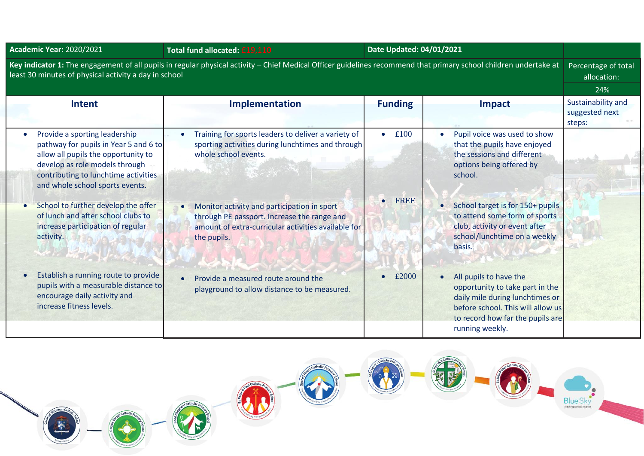| <b>Academic Year: 2020/2021</b>                                                                                                                                                                                                                                                                                                                                                     | Total fund allocated: £19,110                                                                                                                                                                                                                                                                        | Date Updated: 04/01/2021               |                                                                                                                                                                                                                                                                                                |                                                |
|-------------------------------------------------------------------------------------------------------------------------------------------------------------------------------------------------------------------------------------------------------------------------------------------------------------------------------------------------------------------------------------|------------------------------------------------------------------------------------------------------------------------------------------------------------------------------------------------------------------------------------------------------------------------------------------------------|----------------------------------------|------------------------------------------------------------------------------------------------------------------------------------------------------------------------------------------------------------------------------------------------------------------------------------------------|------------------------------------------------|
| Key indicator 1: The engagement of all pupils in regular physical activity - Chief Medical Officer guidelines recommend that primary school children undertake at<br>Percentage of total<br>least 30 minutes of physical activity a day in school                                                                                                                                   |                                                                                                                                                                                                                                                                                                      |                                        |                                                                                                                                                                                                                                                                                                |                                                |
|                                                                                                                                                                                                                                                                                                                                                                                     |                                                                                                                                                                                                                                                                                                      |                                        |                                                                                                                                                                                                                                                                                                | 24%                                            |
| <b>Intent</b>                                                                                                                                                                                                                                                                                                                                                                       | Implementation                                                                                                                                                                                                                                                                                       | <b>Funding</b>                         | Impact                                                                                                                                                                                                                                                                                         | Sustainability and<br>suggested next<br>steps: |
| Provide a sporting leadership<br>$\bullet$<br>pathway for pupils in Year 5 and 6 to<br>allow all pupils the opportunity to<br>develop as role models through<br>contributing to lunchtime activities<br>and whole school sports events.<br>School to further develop the offer<br>$\bullet$<br>of lunch and after school clubs to<br>increase participation of regular<br>activity. | Training for sports leaders to deliver a variety of<br>sporting activities during lunchtimes and through<br>whole school events.<br>Monitor activity and participation in sport<br>through PE passport. Increase the range and<br>amount of extra-curricular activities available for<br>the pupils. | £100<br>$\bullet$<br>FREE<br>$\bullet$ | Pupil voice was used to show<br>that the pupils have enjoyed<br>the sessions and different<br>options being offered by<br>school.<br>School target is for 150+ pupils<br>$\bullet$<br>to attend some form of sports<br>club, activity or event after<br>school/lunchtime on a weekly<br>basis. |                                                |
| Establish a running route to provide<br>pupils with a measurable distance to<br>encourage daily activity and<br>increase fitness levels.                                                                                                                                                                                                                                            | Provide a measured route around the<br>playground to allow distance to be measured.                                                                                                                                                                                                                  | £2000                                  | All pupils to have the<br>opportunity to take part in the<br>daily mile during lunchtimes or<br>before school. This will allow us<br>to record how far the pupils are<br>running weekly.                                                                                                       |                                                |

Catholic 安陵 N<sup>x</sup> 1 N  $catholi$ OD Blue Sky

N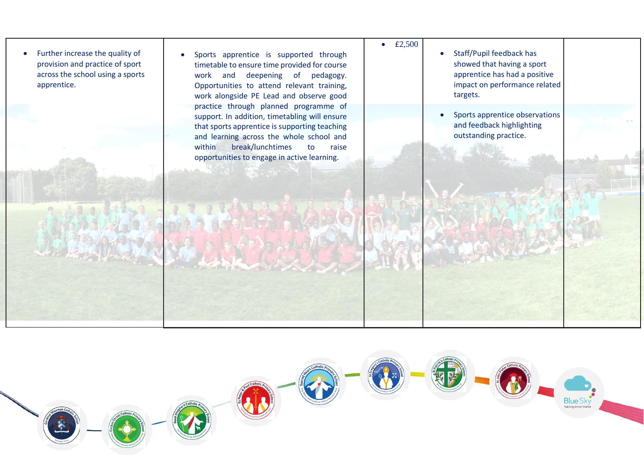

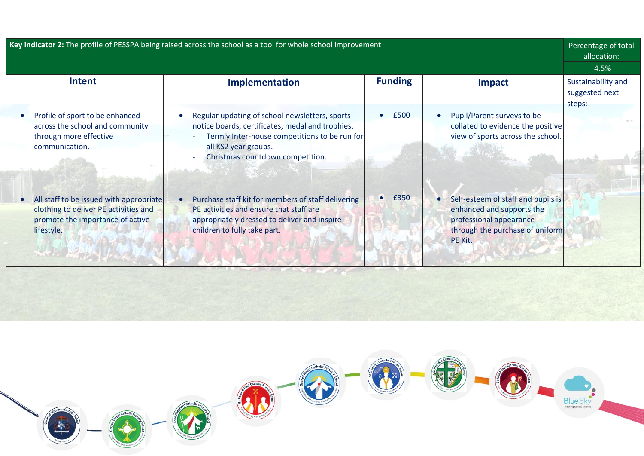| Key indicator 2: The profile of PESSPA being raised across the school as a tool for whole school improvement                       |                                                                                                                                                                                                                                                      |                |                                                                                                                                          | Percentage of total<br>allocation:<br>4.5%     |  |
|------------------------------------------------------------------------------------------------------------------------------------|------------------------------------------------------------------------------------------------------------------------------------------------------------------------------------------------------------------------------------------------------|----------------|------------------------------------------------------------------------------------------------------------------------------------------|------------------------------------------------|--|
| <b>Intent</b>                                                                                                                      | Implementation                                                                                                                                                                                                                                       | <b>Funding</b> | Impact                                                                                                                                   | Sustainability and<br>suggested next<br>steps: |  |
| Profile of sport to be enhanced<br>across the school and community<br>through more effective<br>communication.                     | Regular updating of school newsletters, sports<br>$\bullet$<br>notice boards, certificates, medal and trophies.<br>Termly Inter-house competitions to be run for<br>all KS2 year groups.<br>Christmas countdown competition.<br><b>Barbara Maria</b> | £500           | Pupil/Parent surveys to be<br>collated to evidence the positive<br>view of sports across the school.                                     |                                                |  |
| All staff to be issued with appropriate<br>clothing to deliver PE activities and<br>promote the importance of active<br>lifestyle. | Purchase staff kit for members of staff delivering<br>PE activities and ensure that staff are<br>appropriately dressed to deliver and inspire<br>children to fully take part.                                                                        | $\bullet$ £350 | Self-esteem of staff and pupils is<br>enhanced and supports the<br>professional appearance<br>through the purchase of uniform<br>PE Kit. |                                                |  |

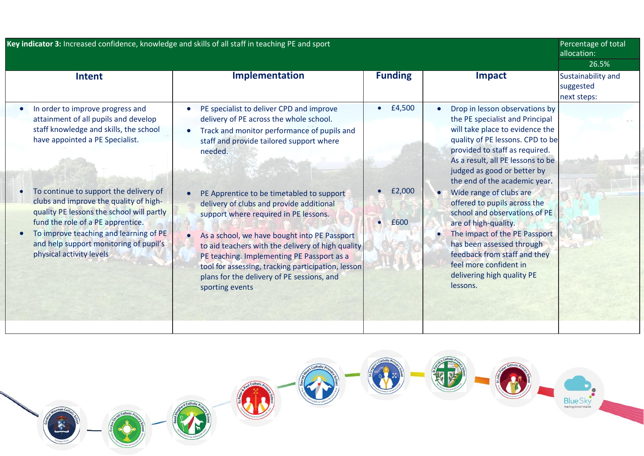| Key indicator 3: Increased confidence, knowledge and skills of all staff in teaching PE and sport                                                                                                                                                                                                                                                                                                                                           |                                                                                                                                                                                                                                                                                                                                                                                                                                                                                                                                                                                                                                              |                          | Percentage of total<br>allocation:<br>26.5%                                                                                                                                                                                                                                                                                                                                                                                                                                                                                                                           |                                                |
|---------------------------------------------------------------------------------------------------------------------------------------------------------------------------------------------------------------------------------------------------------------------------------------------------------------------------------------------------------------------------------------------------------------------------------------------|----------------------------------------------------------------------------------------------------------------------------------------------------------------------------------------------------------------------------------------------------------------------------------------------------------------------------------------------------------------------------------------------------------------------------------------------------------------------------------------------------------------------------------------------------------------------------------------------------------------------------------------------|--------------------------|-----------------------------------------------------------------------------------------------------------------------------------------------------------------------------------------------------------------------------------------------------------------------------------------------------------------------------------------------------------------------------------------------------------------------------------------------------------------------------------------------------------------------------------------------------------------------|------------------------------------------------|
| <b>Intent</b>                                                                                                                                                                                                                                                                                                                                                                                                                               | <b>Implementation</b>                                                                                                                                                                                                                                                                                                                                                                                                                                                                                                                                                                                                                        | <b>Funding</b>           | <b>Impact</b>                                                                                                                                                                                                                                                                                                                                                                                                                                                                                                                                                         | Sustainability and<br>suggested<br>next steps: |
| In order to improve progress and<br>attainment of all pupils and develop<br>staff knowledge and skills, the school<br>have appointed a PE Specialist.<br>To continue to support the delivery of<br>clubs and improve the quality of high-<br>quality PE lessons the school will partly<br>fund the role of a PE apprentice.<br>To improve teaching and learning of PE<br>and help support monitoring of pupil's<br>physical activity levels | PE specialist to deliver CPD and improve<br>$\bullet$<br>delivery of PE across the whole school.<br>Track and monitor performance of pupils and<br>$\bullet$<br>staff and provide tailored support where<br>needed.<br>PE Apprentice to be timetabled to support<br>delivery of clubs and provide additional<br>support where required in PE lessons.<br>As a school, we have bought into PE Passport<br>$\bullet$<br>to aid teachers with the delivery of high quality<br>PE teaching. Implementing PE Passport as a<br>tool for assessing, tracking participation, lesson<br>plans for the delivery of PE sessions, and<br>sporting events | £4,500<br>£2,000<br>£600 | Drop in lesson observations by<br>the PE specialist and Principal<br>will take place to evidence the<br>quality of PE lessons. CPD to be<br>provided to staff as required.<br>As a result, all PE lessons to be<br>judged as good or better by<br>the end of the academic year.<br>Wide range of clubs are<br>offered to pupils across the<br>school and observations of PE<br>are of high-quality.<br>The impact of the PE Passport<br>has been assessed through<br>feedback from staff and they<br>feel more confident in<br>delivering high quality PE<br>lessons. |                                                |

Catholic 安房 N. 小 **School K** Catholic<sub>p</sub> O Blue Sky 家 K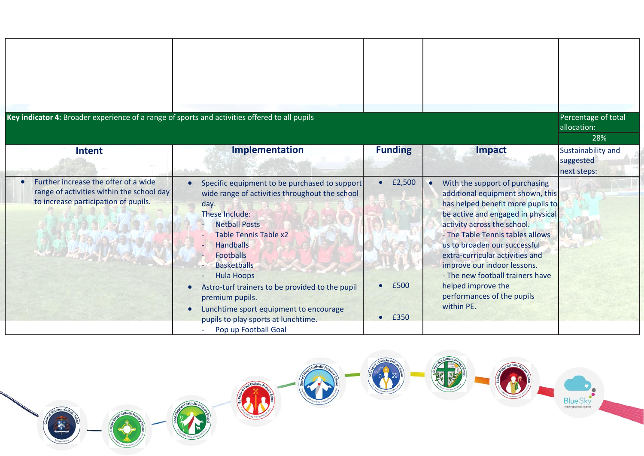| Key indicator 4: Broader experience of a range of sports and activities offered to all pupils                             |                                                                                                                                                                                                                                                                                                                                                                                                                                              |                        |                                                                                                                                                                                                                                                                                                                                                                                                                              | Percentage of total<br>allocation:<br>28%      |
|---------------------------------------------------------------------------------------------------------------------------|----------------------------------------------------------------------------------------------------------------------------------------------------------------------------------------------------------------------------------------------------------------------------------------------------------------------------------------------------------------------------------------------------------------------------------------------|------------------------|------------------------------------------------------------------------------------------------------------------------------------------------------------------------------------------------------------------------------------------------------------------------------------------------------------------------------------------------------------------------------------------------------------------------------|------------------------------------------------|
| Intent                                                                                                                    | Implementation                                                                                                                                                                                                                                                                                                                                                                                                                               | <b>Funding</b>         | <b>Impact</b>                                                                                                                                                                                                                                                                                                                                                                                                                | Sustainability and<br>suggested<br>next steps: |
| Further increase the offer of a wide<br>range of activities within the school day<br>to increase participation of pupils. | Specific equipment to be purchased to support<br>wide range of activities throughout the school<br>day.<br>These Include:<br><b>Netball Posts</b><br><b>Table Tennis Table x2</b><br><b>Handballs</b><br>Footballs<br><b>Basketballs</b><br><b>Hula Hoops</b><br>Astro-turf trainers to be provided to the pupil<br>premium pupils.<br>Lunchtime sport equipment to encourage<br>pupils to play sports at lunchtime.<br>Pop up Football Goal | £2,500<br>£500<br>£350 | With the support of purchasing<br>٠<br>additional equipment shown, this<br>has helped benefit more pupils to<br>be active and engaged in physical<br>activity across the school.<br>- The Table Tennis tables allows<br>us to broaden our successful<br>extra-curricular activities and<br>improve our indoor lessons.<br>- The new football trainers have<br>helped improve the<br>performances of the pupils<br>within PE. |                                                |

1

L Catholic A

O

区

0

Catholic<sub>p</sub>

O.

Blue Sky

 $\left( \begin{matrix} \cdot \end{matrix} \right)$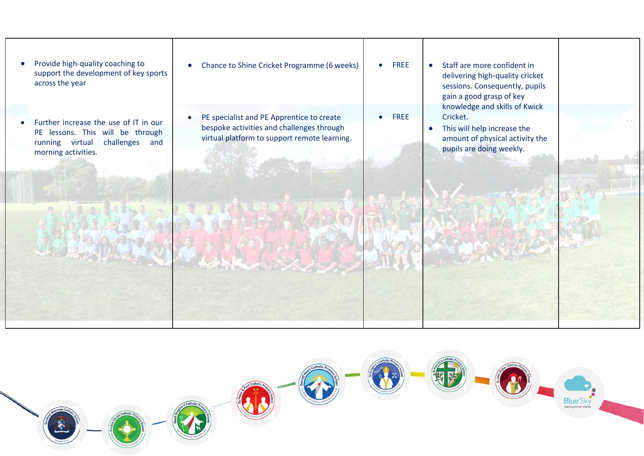• Provide high-quality coaching to support the development of key sports across the year

- Further increase the use of IT in our PE lessons. This will be through running virtual challenges and morning activities.
- Chance to Shine Cricket Programme (6 weeks) • PE specialist and PE Apprentice to create • FREE • FREE
- bespoke activities and challenges through virtual platform to support remote learning.
- Staff are more confident in delivering high-quality cricket sessions. Consequently, pupils gain a good grasp of key knowledge and skills of Kwick Cricket.
- This will help increase the amount of physical activity the pupils are doing weekly.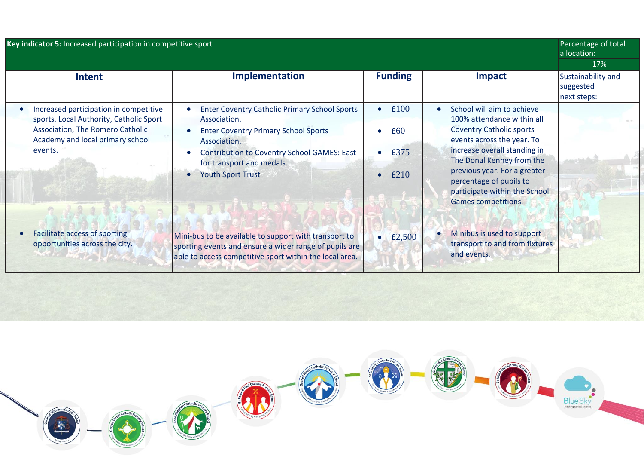| Key indicator 5: Increased participation in competitive sport                                                                                                        |                                                                                                                                                                                                                                                                 |                                          |                                                                                                                                                                                                                                                                                                           | Percentage of total<br>allocation:                    |  |
|----------------------------------------------------------------------------------------------------------------------------------------------------------------------|-----------------------------------------------------------------------------------------------------------------------------------------------------------------------------------------------------------------------------------------------------------------|------------------------------------------|-----------------------------------------------------------------------------------------------------------------------------------------------------------------------------------------------------------------------------------------------------------------------------------------------------------|-------------------------------------------------------|--|
| Intent                                                                                                                                                               | Implementation                                                                                                                                                                                                                                                  | <b>Funding</b>                           | <b>Impact</b>                                                                                                                                                                                                                                                                                             | 17%<br>Sustainability and<br>suggested<br>next steps: |  |
| Increased participation in competitive<br>sports. Local Authority, Catholic Sport<br>Association, The Romero Catholic<br>Academy and local primary school<br>events. | <b>Enter Coventry Catholic Primary School Sports</b><br>Association.<br><b>Enter Coventry Primary School Sports</b><br>Association.<br><b>Contribution to Coventry School GAMES: East</b><br>for transport and medals.<br><b>Youth Sport Trust</b><br>$\bullet$ | £100<br>$\bullet$<br>£60<br>£375<br>£210 | School will aim to achieve<br>100% attendance within all<br><b>Coventry Catholic sports</b><br>events across the year. To<br>increase overall standing in<br>The Donal Kenney from the<br>previous year. For a greater<br>percentage of pupils to<br>participate within the School<br>Games competitions. |                                                       |  |
| <b>Facilitate access of sporting</b><br>opportunities across the city.                                                                                               | Mini-bus to be available to support with transport to<br>sporting events and ensure a wider range of pupils are<br>able to access competitive sport within the local area.                                                                                      | $\bullet$ £2,500                         | Minibus is used to support<br>transport to and from fixtures<br>and events.                                                                                                                                                                                                                               |                                                       |  |